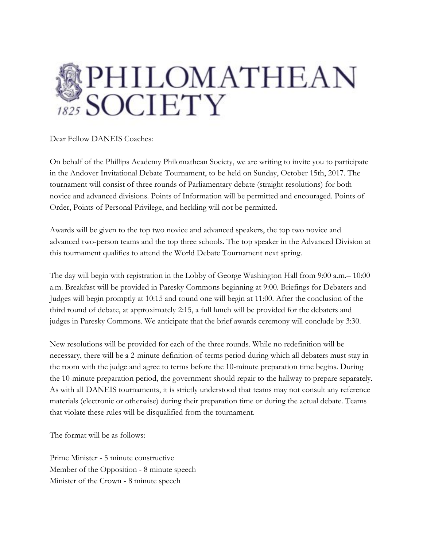

Dear Fellow DANEIS Coaches:

On behalf of the Phillips Academy Philomathean Society, we are writing to invite you to participate in the Andover Invitational Debate Tournament, to be held on Sunday, October 15th, 2017. The tournament will consist of three rounds of Parliamentary debate (straight resolutions) for both novice and advanced divisions. Points of Information will be permitted and encouraged. Points of Order, Points of Personal Privilege, and heckling will not be permitted.

Awards will be given to the top two novice and advanced speakers, the top two novice and advanced two-person teams and the top three schools. The top speaker in the Advanced Division at this tournament qualifies to attend the World Debate Tournament next spring.

The day will begin with registration in the Lobby of George Washington Hall from 9:00 a.m.– 10:00 a.m. Breakfast will be provided in Paresky Commons beginning at 9:00. Briefings for Debaters and Judges will begin promptly at 10:15 and round one will begin at 11:00. After the conclusion of the third round of debate, at approximately 2:15, a full lunch will be provided for the debaters and judges in Paresky Commons. We anticipate that the brief awards ceremony will conclude by 3:30.

New resolutions will be provided for each of the three rounds. While no redefinition will be necessary, there will be a 2-minute definition-of-terms period during which all debaters must stay in the room with the judge and agree to terms before the 10-minute preparation time begins. During the 10-minute preparation period, the government should repair to the hallway to prepare separately. As with all DANEIS tournaments, it is strictly understood that teams may not consult any reference materials (electronic or otherwise) during their preparation time or during the actual debate. Teams that violate these rules will be disqualified from the tournament.

The format will be as follows:

Prime Minister - 5 minute constructive Member of the Opposition - 8 minute speech Minister of the Crown - 8 minute speech